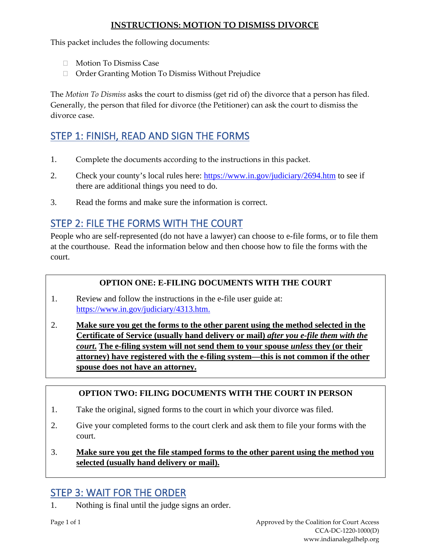### **INSTRUCTIONS: MOTION TO DISMISS DIVORCE**

This packet includes the following documents:

- □ Motion To Dismiss Case
- Order Granting Motion To Dismiss Without Prejudice

The *Motion To Dismiss* asks the court to dismiss (get rid of) the divorce that a person has filed. Generally, the person that filed for divorce (the Petitioner) can ask the court to dismiss the divorce case.

# STEP 1: FINISH, READ AND SIGN THE FORMS

- 1. Complete the documents according to the instructions in this packet.
- 2. Check your county's local rules here:<https://www.in.gov/judiciary/2694.htm> to see if there are additional things you need to do.
- 3. Read the forms and make sure the information is correct.

## STEP 2: FILE THE FORMS WITH THE COURT

People who are self-represented (do not have a lawyer) can choose to e-file forms, or to file them at the courthouse. Read the information below and then choose how to file the forms with the court.

### **OPTION ONE: E-FILING DOCUMENTS WITH THE COURT**

- 1. Review and follow the instructions in the e-file user guide at: [https://www.in.gov/judiciary/4313.htm.](https://www.in.gov/judiciary/4313.htm)
- 2. **Make sure you get the forms to the other parent using the method selected in the Certificate of Service (usually hand delivery or mail)** *after you e-file them with the court***. The e-filing system will not send them to your spouse** *unless* **they (or their attorney) have registered with the e-filing system—this is not common if the other spouse does not have an attorney.**

### **OPTION TWO: FILING DOCUMENTS WITH THE COURT IN PERSON**

- 1. Take the original, signed forms to the court in which your divorce was filed.
- 2. Give your completed forms to the court clerk and ask them to file your forms with the court.
- 3. **Make sure you get the file stamped forms to the other parent using the method you selected (usually hand delivery or mail).**

## STEP 3: WAIT FOR THE ORDER

1. Nothing is final until the judge signs an order.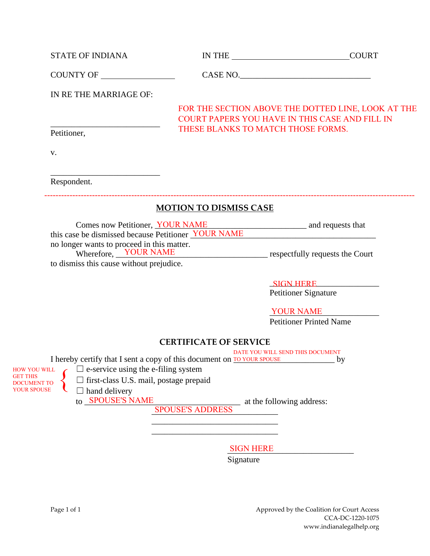| COUNTY OF<br>CASE NO.<br>IN RE THE MARRIAGE OF:<br>FOR THE SECTION ABOVE THE DOTTED LINE, LOOK AT THE<br><b>COURT PAPERS YOU HAVE IN THIS CASE AND FILL IN</b><br>THESE BLANKS TO MATCH THOSE FORMS.<br>Petitioner,<br>V.<br>Respondent.<br><b>MOTION TO DISMISS CASE</b><br>Comes now Petitioner, <u>YOUR NAME</u> and requests that<br>this case be dismissed because Petitioner <u>YOUR NAME</u><br>no longer wants to proceed in this matter.<br>Wherefore, YOUR NAME<br>respectfully requests the Court<br>to dismiss this cause without prejudice.<br>SIGN HERE<br>Petitioner Signature<br><b>YOUR NAME</b> | <b>COURT</b> |
|-------------------------------------------------------------------------------------------------------------------------------------------------------------------------------------------------------------------------------------------------------------------------------------------------------------------------------------------------------------------------------------------------------------------------------------------------------------------------------------------------------------------------------------------------------------------------------------------------------------------|--------------|
|                                                                                                                                                                                                                                                                                                                                                                                                                                                                                                                                                                                                                   |              |
|                                                                                                                                                                                                                                                                                                                                                                                                                                                                                                                                                                                                                   |              |
|                                                                                                                                                                                                                                                                                                                                                                                                                                                                                                                                                                                                                   |              |
|                                                                                                                                                                                                                                                                                                                                                                                                                                                                                                                                                                                                                   |              |
|                                                                                                                                                                                                                                                                                                                                                                                                                                                                                                                                                                                                                   |              |
|                                                                                                                                                                                                                                                                                                                                                                                                                                                                                                                                                                                                                   |              |
|                                                                                                                                                                                                                                                                                                                                                                                                                                                                                                                                                                                                                   |              |
|                                                                                                                                                                                                                                                                                                                                                                                                                                                                                                                                                                                                                   |              |
|                                                                                                                                                                                                                                                                                                                                                                                                                                                                                                                                                                                                                   |              |
|                                                                                                                                                                                                                                                                                                                                                                                                                                                                                                                                                                                                                   |              |
|                                                                                                                                                                                                                                                                                                                                                                                                                                                                                                                                                                                                                   |              |
| <b>Petitioner Printed Name</b>                                                                                                                                                                                                                                                                                                                                                                                                                                                                                                                                                                                    |              |

### **CERTIFICATE OF SERVICE**

\_\_\_\_\_\_\_\_\_\_\_\_\_\_\_\_\_\_\_\_\_\_\_\_\_\_\_\_\_\_ \_\_\_\_\_\_\_\_\_\_\_\_\_\_\_\_\_\_\_\_\_\_\_\_\_\_\_\_\_\_

DATE YOU WILL SEND THIS DOCUMENT

I hereby certify that I sent a copy of this document on **TO YOUR SPOUSE** by



 $\Box$  e-service using the e-filing system

☐ first-class U.S. mail, postage prepaid

 $\Box$  hand delivery to **SPOUSE'S NAME** 

to at the following address:

\_\_\_\_\_\_\_\_\_\_\_\_\_\_\_\_\_\_\_\_\_\_\_\_\_\_\_\_\_\_ SPOUSE'S ADDRESS

\_\_\_\_\_\_\_\_\_\_\_\_\_\_\_\_\_\_\_\_\_\_\_\_\_\_\_\_\_\_ SIGN HERE

Signature